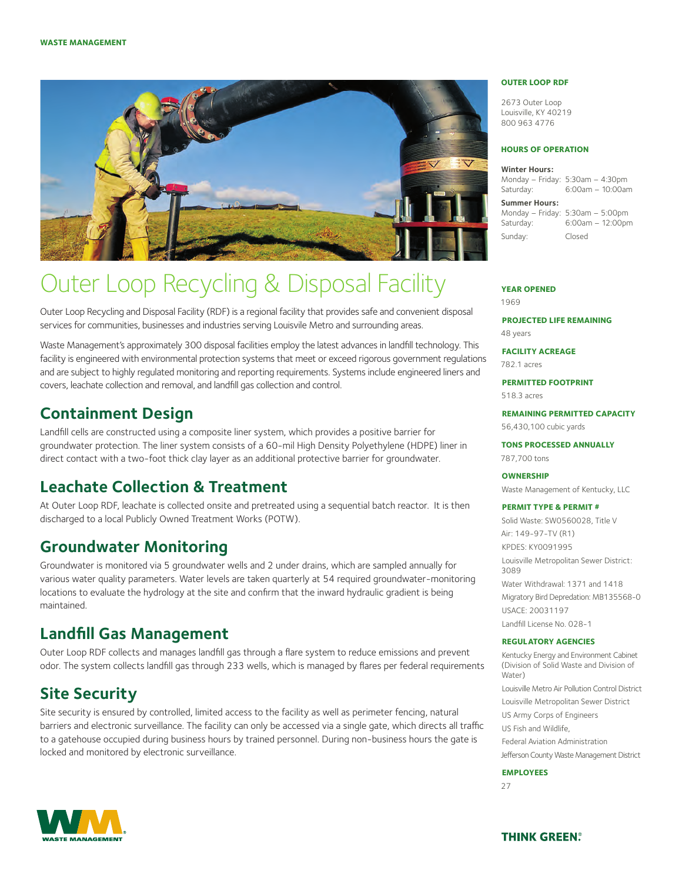

# Outer Loop Recycling & Disposal Facility

Outer Loop Recycling and Disposal Facility (RDF) is a regional facility that provides safe and convenient disposal services for communities, businesses and industries serving Louisvile Metro and surrounding areas.

Waste Management's approximately 300 disposal facilities employ the latest advances in landfill technology. This facility is engineered with environmental protection systems that meet or exceed rigorous government regulations and are subject to highly regulated monitoring and reporting requirements. Systems include engineered liners and covers, leachate collection and removal, and landfill gas collection and control.

### **Containment Design**

Landfill cells are constructed using a composite liner system, which provides a positive barrier for groundwater protection. The liner system consists of a 60-mil High Density Polyethylene (HDPE) liner in direct contact with a two-foot thick clay layer as an additional protective barrier for groundwater.

## **Leachate Collection & Treatment**

At Outer Loop RDF, leachate is collected onsite and pretreated using a sequential batch reactor. It is then discharged to a local Publicly Owned Treatment Works (POTW).

### **Groundwater Monitoring**

Groundwater is monitored via 5 groundwater wells and 2 under drains, which are sampled annually for various water quality parameters. Water levels are taken quarterly at 54 required groundwater-monitoring locations to evaluate the hydrology at the site and confirm that the inward hydraulic gradient is being maintained.

## **Landfill Gas Management**

Outer Loop RDF collects and manages landfill gas through a flare system to reduce emissions and prevent odor. The system collects landfill gas through 233 wells, which is managed by flares per federal requirements

# **Site Security**

Site security is ensured by controlled, limited access to the facility as well as perimeter fencing, natural barriers and electronic surveillance. The facility can only be accessed via a single gate, which directs all traffic to a gatehouse occupied during business hours by trained personnel. During non-business hours the gate is locked and monitored by electronic surveillance.

#### **Outer Loop RDF**

2673 Outer Loop Louisville, KY 40219 800 963 4776

#### **Hours of Operation**

#### **Winter Hours:**

Monday – Friday: 5:30am – 4:30pm Saturday: 6:00am – 10:00am

**Summer Hours:**  Monday – Friday: 5:30am – 5:00pm

Saturday: 6:00am – 12:00pm Sunday: Closed

#### **Year Opened**

1969

**Projected Life Remaining**  48 years

**Facility Acreage** 782.1 acres

**Permitted Footprint** 518.3 acres

**Remaining Permitted Capacity**

56,430,100 cubic yards

**TONS PROCESSED ANNUALLY** 787,700 tons

### **Ownership**

Waste Management of Kentucky, LLC

#### **Permit Type & Permit #**

Solid Waste: SW0560028, Title V Air: 149-97-TV (R1) KPDES: KY0091995 Louisville Metropolitan Sewer District: 3089 Water Withdrawal: 1371 and 1418 Migratory Bird Depredation: MB135568-0 USACE: 20031197 Landfill License No. 028-1

#### **Regulatory Agencies**

Kentucky Energy and Environment Cabinet (Division of Solid Waste and Division of Water) Louisville Metro Air Pollution Control District Louisville Metropolitan Sewer District US Army Corps of Engineers US Fish and Wildlife, Federal Aviation Administration Jefferson County Waste Management District

#### **Employees**

27



**THINK GREEN®**